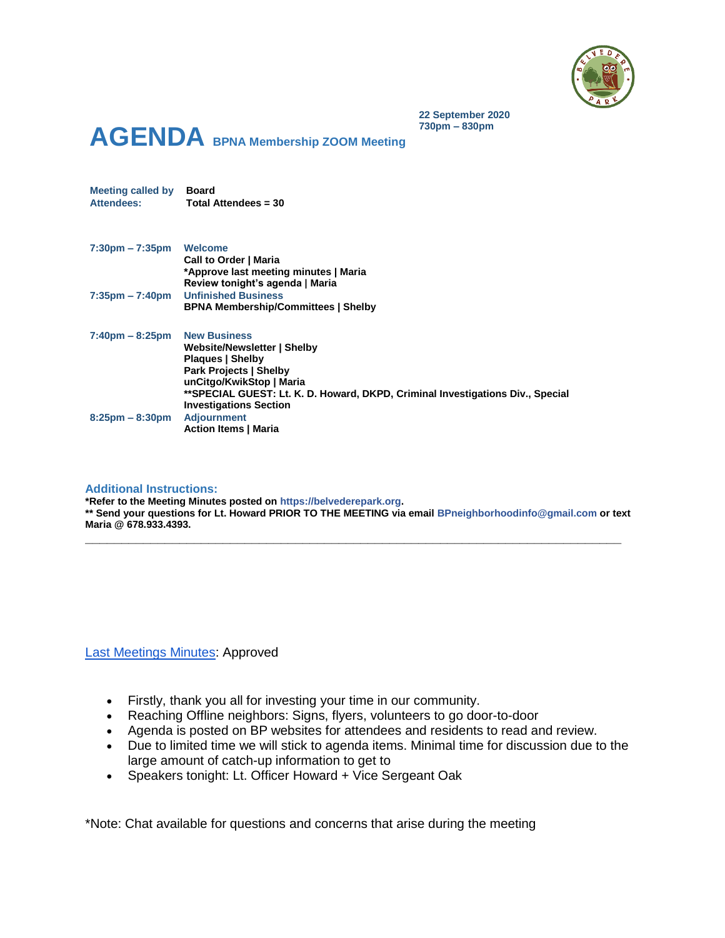

**22 September 2020 730pm – 830pm**

# **AGENDA BPNA Membership ZOOM Meeting**

**7:30pm – 7:35pm Welcome Call to Order | Maria \*Approve last meeting minutes | Maria Review tonight's agenda | Maria 7:35pm – 7:40pm Unfinished Business BPNA Membership/Committees | Shelby 7:40pm – 8:25pm New Business Website/Newsletter | Shelby Plaques | Shelby Park Projects | Shelby unCitgo/KwikStop | Maria \*\*SPECIAL GUEST: Lt. K. D. Howard, DKPD, Criminal Investigations Div., Special Investigations Section 8:25pm – 8:30pm Adjournment Action Items | Maria**

#### **Additional Instructions:**

**Meeting called by Board**

**Attendees: Total Attendees = 30**

**\*Refer to the Meeting Minutes posted on https://belvederepark.org. \*\* Send your questions for Lt. Howard PRIOR TO THE MEETING via email BPneighborhoodinfo@gmail.com or text Maria @ 678.933.4393.**

**\_\_\_\_\_\_\_\_\_\_\_\_\_\_\_\_\_\_\_\_\_\_\_\_\_\_\_\_\_\_\_\_\_\_\_\_\_\_\_\_\_\_\_\_\_\_\_\_\_\_\_\_\_\_\_\_\_\_\_\_\_\_\_\_\_\_\_\_\_\_\_\_\_\_**

#### [Last Meetings Minutes:](https://3ae6f3ad-add6-43e5-afbf-843a3ef588d0.filesusr.com/ugd/c03560_1b68ed166328480cb2d17b1bcd56e67c.pdf) Approved

- Firstly, thank you all for investing your time in our community.
- Reaching Offline neighbors: Signs, flyers, volunteers to go door-to-door
- Agenda is posted on BP websites for attendees and residents to read and review.
- Due to limited time we will stick to agenda items. Minimal time for discussion due to the large amount of catch-up information to get to
- Speakers tonight: Lt. Officer Howard + Vice Sergeant Oak

\*Note: Chat available for questions and concerns that arise during the meeting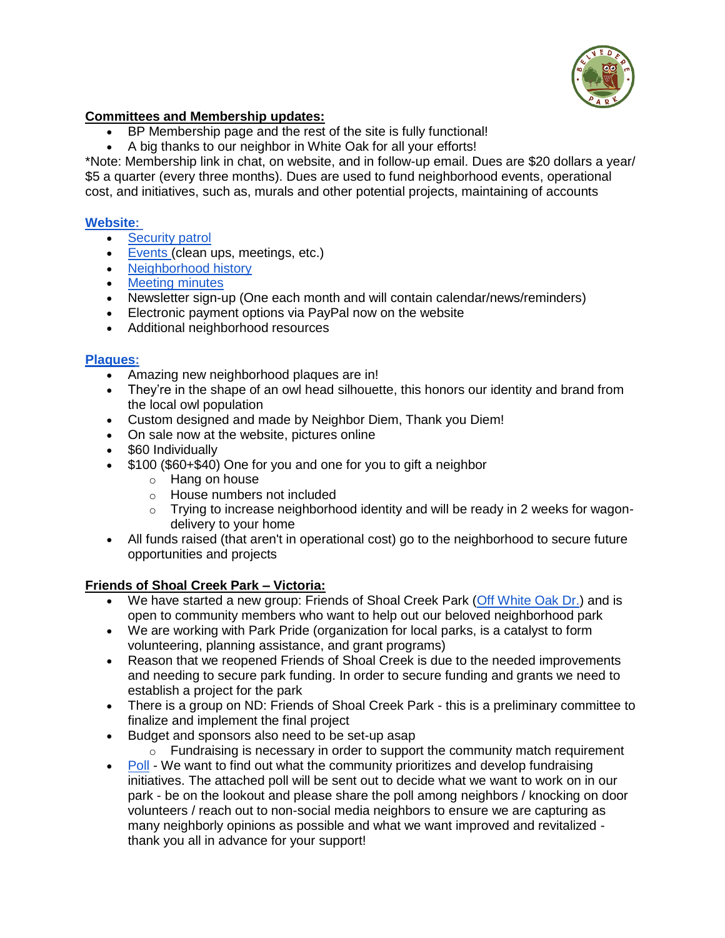

# **Committees and Membership updates:**

- BP Membership page and the rest of the site is fully functional!
- A big thanks to our neighbor in White Oak for all your efforts!

\*Note: Membership link in chat, on website, and in follow-up email. Dues are \$20 dollars a year/ \$5 a quarter (every three months). Dues are used to fund neighborhood events, operational cost, and initiatives, such as, murals and other potential projects, maintaining of accounts

# **[Website:](https://www.belvederepark.org/)**

- [Security patrol](https://www.bpwohpatrol.com/)
- [Events \(](https://www.belvederepark.org/events)clean ups, meetings, etc.)
- [Neighborhood history](https://www.belvederepark.org/history)
- [Meeting minutes](https://www.belvederepark.org/meeting-minutes)
- Newsletter sign-up (One each month and will contain calendar/news/reminders)
- Electronic payment options via PayPal now on the website
- Additional neighborhood resources

### **[Plaques:](https://www.belvederepark.org/association-memberships)**

- Amazing new neighborhood plaques are in!
- They're in the shape of an owl head silhouette, this honors our identity and brand from the local owl population
- Custom designed and made by Neighbor Diem, Thank you Diem!
- On sale now at the website, pictures online
- \$60 Individually
- \$100 (\$60+\$40) One for you and one for you to gift a neighbor
	- o Hang on house
	- o House numbers not included
	- $\circ$  Trying to increase neighborhood identity and will be ready in 2 weeks for wagondelivery to your home
- All funds raised (that aren't in operational cost) go to the neighborhood to secure future opportunities and projects

### **Friends of Shoal Creek Park – Victoria:**

- We have started a new group: Friends of Shoal Creek Park [\(Off White Oak Dr.\)](https://www.google.com/maps/place/Shoal+Creek+Park/@33.7384843,-84.2701792,15z/data=!4m5!3m4!1s0x0:0xf932dccea328456a!8m2!3d33.7384843!4d-84.2701792) and is open to community members who want to help out our beloved neighborhood park
- We are working with Park Pride (organization for local parks, is a catalyst to form volunteering, planning assistance, and grant programs)
- Reason that we reopened Friends of Shoal Creek is due to the needed improvements and needing to secure park funding. In order to secure funding and grants we need to establish a project for the park
- There is a group on ND: Friends of Shoal Creek Park this is a preliminary committee to finalize and implement the final project
- Budget and sponsors also need to be set-up asap
	- $\circ$  Fundraising is necessary in order to support the community match requirement
- [Poll](https://docs.google.com/forms/d/e/1FAIpQLSc63ZwVmc3lSFyJ4TEg8JN1OBXbzCu3ZfxXslPdGpn27vMEuQ/viewform?usp=sf_link) We want to find out what the community prioritizes and develop fundraising initiatives. The attached poll will be sent out to decide what we want to work on in our park - be on the lookout and please share the poll among neighbors / knocking on door volunteers / reach out to non-social media neighbors to ensure we are capturing as many neighborly opinions as possible and what we want improved and revitalized thank you all in advance for your support!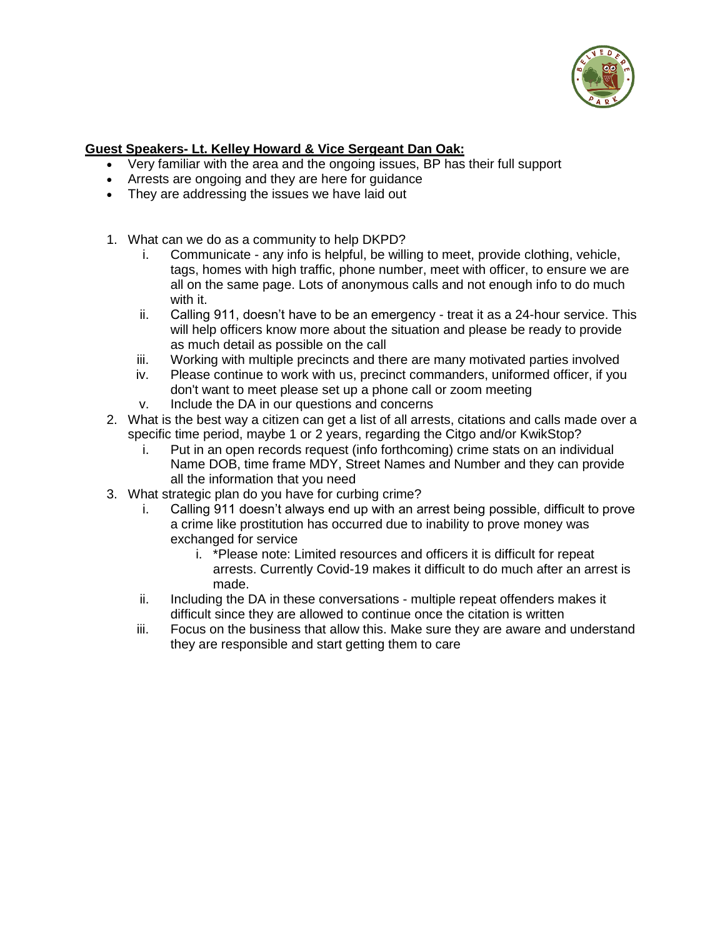

# **Guest Speakers- Lt. Kelley Howard & Vice Sergeant Dan Oak:**

- Very familiar with the area and the ongoing issues, BP has their full support
- Arrests are ongoing and they are here for guidance
- They are addressing the issues we have laid out
- 1. What can we do as a community to help DKPD?
	- i. Communicate any info is helpful, be willing to meet, provide clothing, vehicle, tags, homes with high traffic, phone number, meet with officer, to ensure we are all on the same page. Lots of anonymous calls and not enough info to do much with it.
	- ii. Calling 911, doesn't have to be an emergency treat it as a 24-hour service. This will help officers know more about the situation and please be ready to provide as much detail as possible on the call
	- iii. Working with multiple precincts and there are many motivated parties involved
	- iv. Please continue to work with us, precinct commanders, uniformed officer, if you don't want to meet please set up a phone call or zoom meeting
	- v. Include the DA in our questions and concerns
- 2. What is the best way a citizen can get a list of all arrests, citations and calls made over a specific time period, maybe 1 or 2 years, regarding the Citgo and/or KwikStop?
	- i. Put in an open records request (info forthcoming) crime stats on an individual Name DOB, time frame MDY, Street Names and Number and they can provide all the information that you need
- 3. What strategic plan do you have for curbing crime?
	- i. Calling 911 doesn't always end up with an arrest being possible, difficult to prove a crime like prostitution has occurred due to inability to prove money was exchanged for service
		- i. \*Please note: Limited resources and officers it is difficult for repeat arrests. Currently Covid-19 makes it difficult to do much after an arrest is made.
	- ii. Including the DA in these conversations multiple repeat offenders makes it difficult since they are allowed to continue once the citation is written
	- iii. Focus on the business that allow this. Make sure they are aware and understand they are responsible and start getting them to care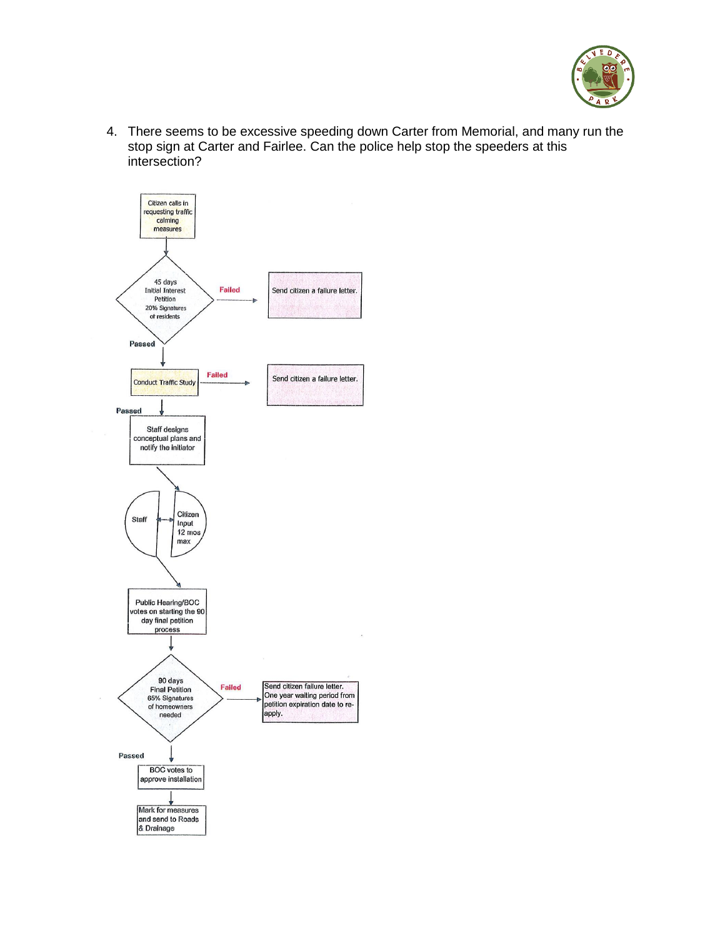

4. There seems to be excessive speeding down Carter from Memorial, and many run the stop sign at Carter and Fairlee. Can the police help stop the speeders at this intersection?